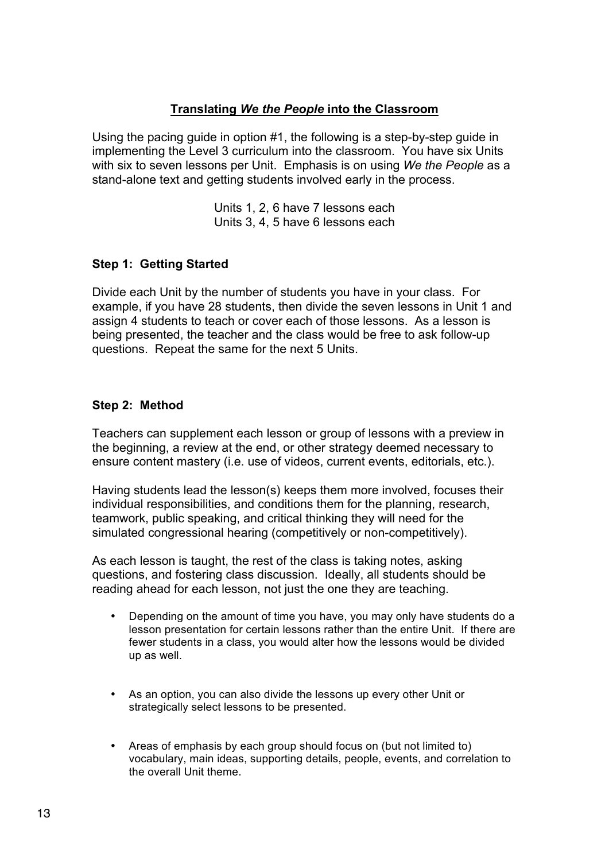#### **Translating** *We the People* **into the Classroom**

Using the pacing guide in option #1, the following is a step-by-step guide in implementing the Level 3 curriculum into the classroom. You have six Units with six to seven lessons per Unit. Emphasis is on using *We the People* as a stand-alone text and getting students involved early in the process.

> Units 1, 2, 6 have 7 lessons each Units 3, 4, 5 have 6 lessons each

### **Step 1: Getting Started**

Divide each Unit by the number of students you have in your class. For example, if you have 28 students, then divide the seven lessons in Unit 1 and assign 4 students to teach or cover each of those lessons. As a lesson is being presented, the teacher and the class would be free to ask follow-up questions. Repeat the same for the next 5 Units.

#### **Step 2: Method**

Teachers can supplement each lesson or group of lessons with a preview in the beginning, a review at the end, or other strategy deemed necessary to ensure content mastery (i.e. use of videos, current events, editorials, etc.).

Having students lead the lesson(s) keeps them more involved, focuses their individual responsibilities, and conditions them for the planning, research, teamwork, public speaking, and critical thinking they will need for the simulated congressional hearing (competitively or non-competitively).

As each lesson is taught, the rest of the class is taking notes, asking questions, and fostering class discussion. Ideally, all students should be reading ahead for each lesson, not just the one they are teaching.

- Depending on the amount of time you have, you may only have students do a lesson presentation for certain lessons rather than the entire Unit. If there are fewer students in a class, you would alter how the lessons would be divided up as well.
- As an option, you can also divide the lessons up every other Unit or strategically select lessons to be presented.
- Areas of emphasis by each group should focus on (but not limited to) vocabulary, main ideas, supporting details, people, events, and correlation to the overall Unit theme.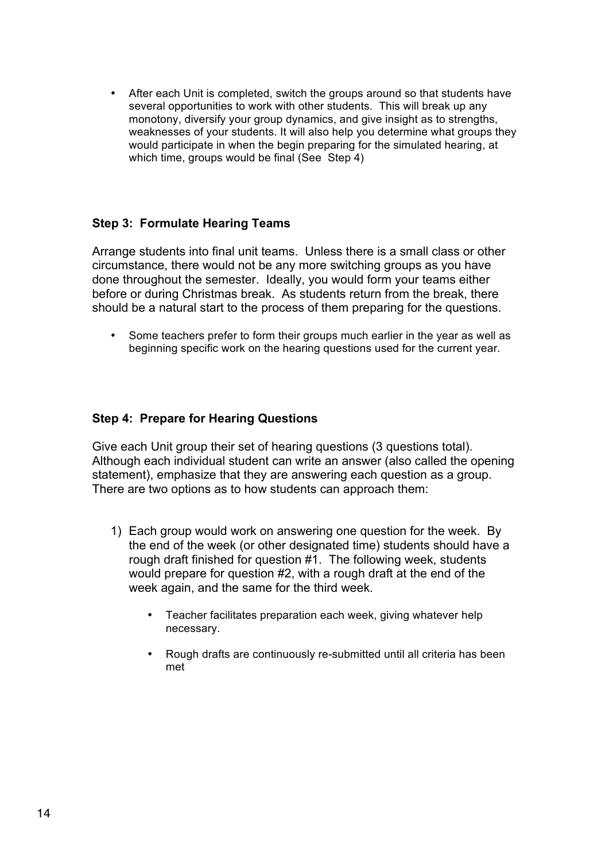• After each Unit is completed, switch the groups around so that students have several opportunities to work with other students. This will break up any monotony, diversify your group dynamics, and give insight as to strengths, weaknesses of your students. It will also help you determine what groups they would participate in when the begin preparing for the simulated hearing, at which time, groups would be final (See Step 4)

### **Step 3: Formulate Hearing Teams**

Arrange students into final unit teams. Unless there is a small class or other circumstance, there would not be any more switching groups as you have done throughout the semester. Ideally, you would form your teams either before or during Christmas break. As students return from the break, there should be a natural start to the process of them preparing for the questions.

• Some teachers prefer to form their groups much earlier in the year as well as beginning specific work on the hearing questions used for the current year.

#### **Step 4: Prepare for Hearing Questions**

Give each Unit group their set of hearing questions (3 questions total). Although each individual student can write an answer (also called the opening statement), emphasize that they are answering each question as a group. There are two options as to how students can approach them:

- 1) Each group would work on answering one question for the week. By the end of the week (or other designated time) students should have a rough draft finished for question #1. The following week, students would prepare for question #2, with a rough draft at the end of the week again, and the same for the third week.
	- Teacher facilitates preparation each week, giving whatever help necessary.
	- Rough drafts are continuously re-submitted until all criteria has been met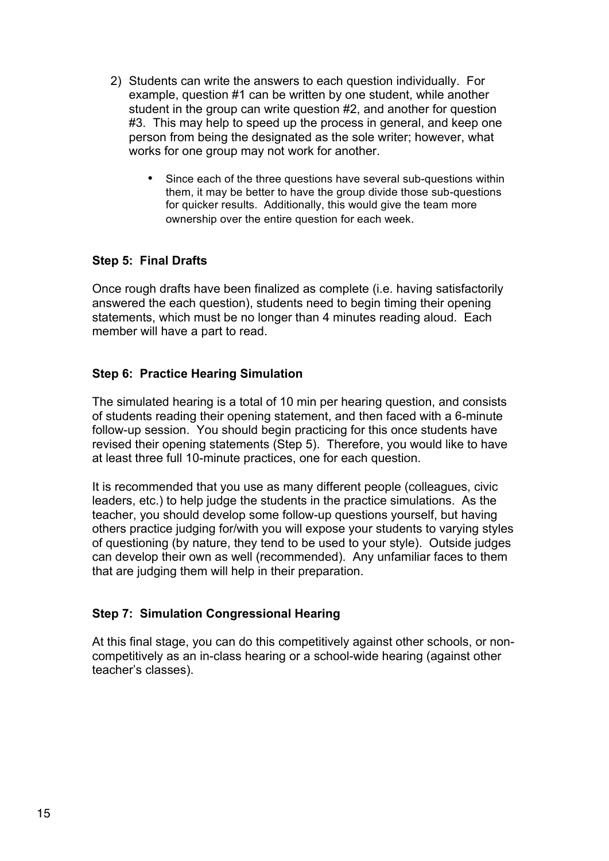- 2) Students can write the answers to each question individually. For example, question #1 can be written by one student, while another student in the group can write question #2, and another for question #3. This may help to speed up the process in general, and keep one person from being the designated as the sole writer; however, what works for one group may not work for another.
	- Since each of the three questions have several sub-questions within them, it may be better to have the group divide those sub-questions for quicker results. Additionally, this would give the team more ownership over the entire question for each week.

### **Step 5: Final Drafts**

Once rough drafts have been finalized as complete (i.e. having satisfactorily answered the each question), students need to begin timing their opening statements, which must be no longer than 4 minutes reading aloud. Each member will have a part to read.

### **Step 6: Practice Hearing Simulation**

The simulated hearing is a total of 10 min per hearing question, and consists of students reading their opening statement, and then faced with a 6-minute follow-up session. You should begin practicing for this once students have revised their opening statements (Step 5). Therefore, you would like to have at least three full 10-minute practices, one for each question.

It is recommended that you use as many different people (colleagues, civic leaders, etc.) to help judge the students in the practice simulations. As the teacher, you should develop some follow-up questions yourself, but having others practice judging for/with you will expose your students to varying styles of questioning (by nature, they tend to be used to your style). Outside judges can develop their own as well (recommended). Any unfamiliar faces to them that are judging them will help in their preparation.

#### **Step 7: Simulation Congressional Hearing**

At this final stage, you can do this competitively against other schools, or noncompetitively as an in-class hearing or a school-wide hearing (against other teacher's classes).